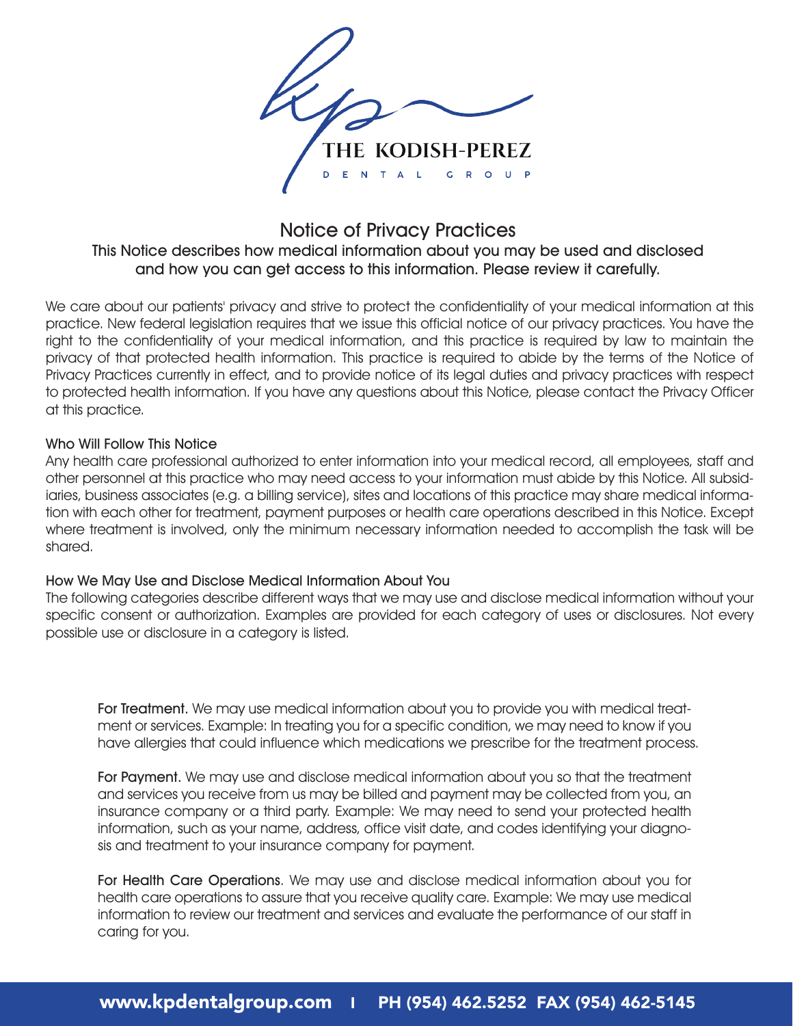

# Notice of Privacy Practices

## This Notice describes how medical information about you may be used and disclosed and how you can get access to this information. Please review it carefully.

We care about our patients' privacy and strive to protect the confidentiality of your medical information at this practice. New federal legislation requires that we issue this official notice of our privacy practices. You have the right to the confidentiality of your medical information, and this practice is required by law to maintain the privacy of that protected health information. This practice is required to abide by the terms of the Notice of Privacy Practices currently in effect, and to provide notice of its legal duties and privacy practices with respect to protected health information. If you have any questions about this Notice, please contact the Privacy Officer at this practice.

#### Who Will Follow This Notice

Any health care professional authorized to enter information into your medical record, all employees, staff and other personnel at this practice who may need access to your information must abide by this Notice. All subsidiaries, business associates (e.g. a billing service), sites and locations of this practice may share medical information with each other for treatment, payment purposes or health care operations described in this Notice. Except where treatment is involved, only the minimum necessary information needed to accomplish the task will be shared.

### How We May Use and Disclose Medical Information About You

The following categories describe different ways that we may use and disclose medical information without your specific consent or authorization. Examples are provided for each category of uses or disclosures. Not every possible use or disclosure in a category is listed.

For Treatment. We may use medical information about you to provide you with medical treatment or services. Example: In treating you for a specific condition, we may need to know if you have allergies that could influence which medications we prescribe for the treatment process.

For Payment. We may use and disclose medical information about you so that the treatment and services you receive from us may be billed and payment may be collected from you, an insurance company or a third party. Example: We may need to send your protected health information, such as your name, address, office visit date, and codes identifying your diagnosis and treatment to your insurance company for payment.

For Health Care Operations. We may use and disclose medical information about you for health care operations to assure that you receive quality care. Example: We may use medical information to review our treatment and services and evaluate the performance of our staff in caring for you.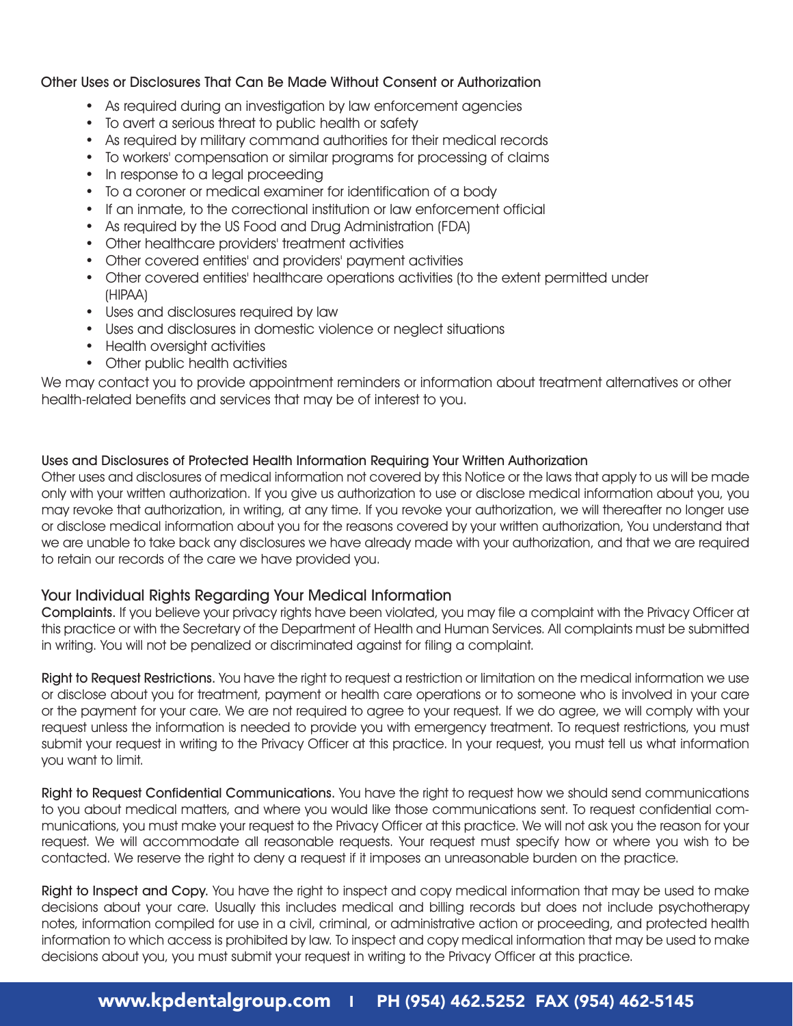### Other Uses or Disclosures That Can Be Made Without Consent or Authorization

- As required during an investigation by law enforcement agencies
- To avert a serious threat to public health or safety
- As required by military command authorities for their medical records
- To workers' compensation or similar programs for processing of claims
- In response to a legal proceeding
- To a coroner or medical examiner for identification of a body
- If an inmate, to the correctional institution or law enforcement official
- As required by the US Food and Drug Administration (FDA)
- Other healthcare providers' treatment activities
- Other covered entities' and providers' payment activities
- Other covered entities' healthcare operations activities (to the extent permitted under (HIPAA)
- Uses and disclosures required by law
- Uses and disclosures in domestic violence or neglect situations
- Health oversight activities
- Other public health activities

We may contact you to provide appointment reminders or information about treatment alternatives or other health-related benefits and services that may be of interest to you.

#### Uses and Disclosures of Protected Health Information Requiring Your Written Authorization

Other uses and disclosures of medical information not covered by this Notice or the laws that apply to us will be made only with your written authorization. If you give us authorization to use or disclose medical information about you, you may revoke that authorization, in writing, at any time. If you revoke your authorization, we will thereafter no longer use or disclose medical information about you for the reasons covered by your written authorization, You understand that we are unable to take back any disclosures we have already made with your authorization, and that we are required to retain our records of the care we have provided you.

### Your Individual Rights Regarding Your Medical Information

Complaints. If you believe your privacy rights have been violated, you may file a complaint with the Privacy Officer at this practice or with the Secretary of the Department of Health and Human Services. All complaints must be submitted in writing. You will not be penalized or discriminated against for filing a complaint.

Right to Request Restrictions. You have the right to request a restriction or limitation on the medical information we use or disclose about you for treatment, payment or health care operations or to someone who is involved in your care or the payment for your care. We are not required to agree to your request. If we do agree, we will comply with your request unless the information is needed to provide you with emergency treatment. To request restrictions, you must submit your request in writing to the Privacy Officer at this practice. In your request, you must tell us what information you want to limit.

Right to Request Confidential Communications. You have the right to request how we should send communications to you about medical matters, and where you would like those communications sent. To request confidential communications, you must make your request to the Privacy Officer at this practice. We will not ask you the reason for your request. We will accommodate all reasonable requests. Your request must specify how or where you wish to be contacted. We reserve the right to deny a request if it imposes an unreasonable burden on the practice.

Right to Inspect and Copy. You have the right to inspect and copy medical information that may be used to make decisions about your care. Usually this includes medical and billing records but does not include psychotherapy notes, information compiled for use in a civil, criminal, or administrative action or proceeding, and protected health information to which access is prohibited by law. To inspect and copy medical information that may be used to make decisions about you, you must submit your request in writing to the Privacy Officer at this practice.